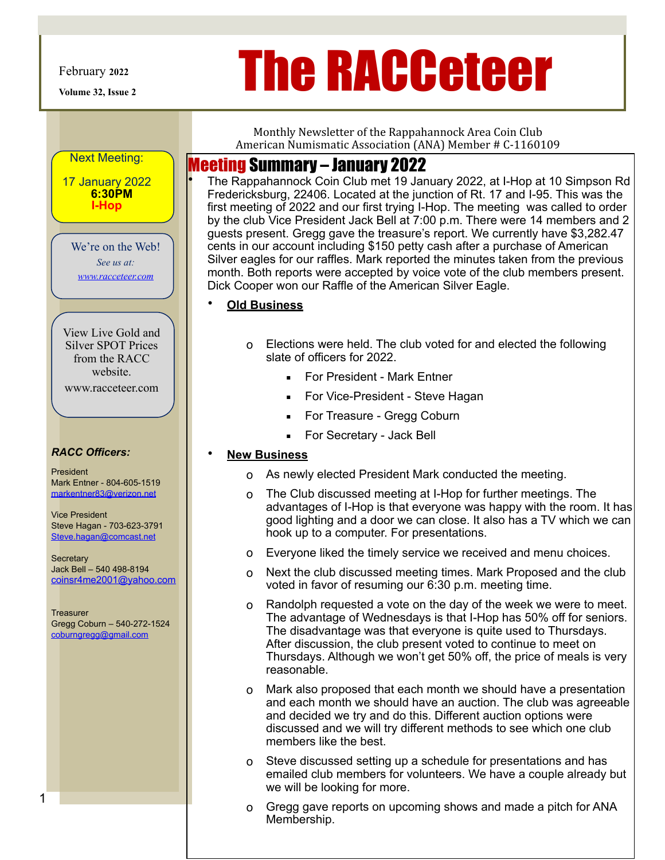**Volume 32, Issue 2** 

Next Meeting:

17 January 2022 **6:30PM I-Hop** 

# February 2022<br> **The RACCeteer**

Monthly Newsletter of the Rappahannock Area Coin Club American Numismatic Association (ANA) Member # C-1160109

### Meeting Summary – January 2022

• The Rappahannock Coin Club met 19 January 2022, at I-Hop at 10 Simpson Rd Fredericksburg, 22406. Located at the junction of Rt. 17 and I-95. This was the first meeting of 2022 and our first trying I-Hop. The meeting was called to order by the club Vice President Jack Bell at 7:00 p.m. There were 14 members and 2 guests present. Gregg gave the treasure's report. We currently have \$3,282.47 cents in our account including \$150 petty cash after a purchase of American Silver eagles for our raffles. Mark reported the minutes taken from the previous month. Both reports were accepted by voice vote of the club members present. Dick Cooper won our Raffle of the American Silver Eagle.

#### • **Old Business**

- o Elections were held. The club voted for and elected the following slate of officers for 2022.
	- **EXECT:** For President Mark Entner
	- **EXECO** For Vice-President Steve Hagan
	- For Treasure Gregg Coburn
	- For Secretary Jack Bell

#### • **New Business**

- o As newly elected President Mark conducted the meeting.
- o The Club discussed meeting at I-Hop for further meetings. The advantages of I-Hop is that everyone was happy with the room. It has good lighting and a door we can close. It also has a TV which we can hook up to a computer. For presentations.
- o Everyone liked the timely service we received and menu choices.
- o Next the club discussed meeting times. Mark Proposed and the club voted in favor of resuming our 6:30 p.m. meeting time.
- o Randolph requested a vote on the day of the week we were to meet. The advantage of Wednesdays is that I-Hop has 50% off for seniors. The disadvantage was that everyone is quite used to Thursdays. After discussion, the club present voted to continue to meet on Thursdays. Although we won't get 50% off, the price of meals is very reasonable.
- o Mark also proposed that each month we should have a presentation and each month we should have an auction. The club was agreeable and decided we try and do this. Different auction options were discussed and we will try different methods to see which one club members like the best.
- o Steve discussed setting up a schedule for presentations and has emailed club members for volunteers. We have a couple already but we will be looking for more.
- o Gregg gave reports on upcoming shows and made a pitch for ANA Membership.

We're on the Web! *See us at:*

*[www.racceteer.com](http://www.racceteer.com)*

View Live Gold and Silver SPOT Prices from the RACC website. www.racceteer.com

#### *RACC Officers:*

President Mark Entner - 804-605-1519 markentner83@verizon.net

Vice President Steve Hagan - 703-623-3791 Steve.hagan@comcast.net

**Secretary** Jack Bell – 540 498-8194 [coinsr4me2001@yahoo.com](mailto:coinsr4me2001@yahoo.comSteve)

**Treasurer** Gregg Coburn – 540-272-1524 [coburngregg@gmail.com](mailto:coburngregg@gmail.com)